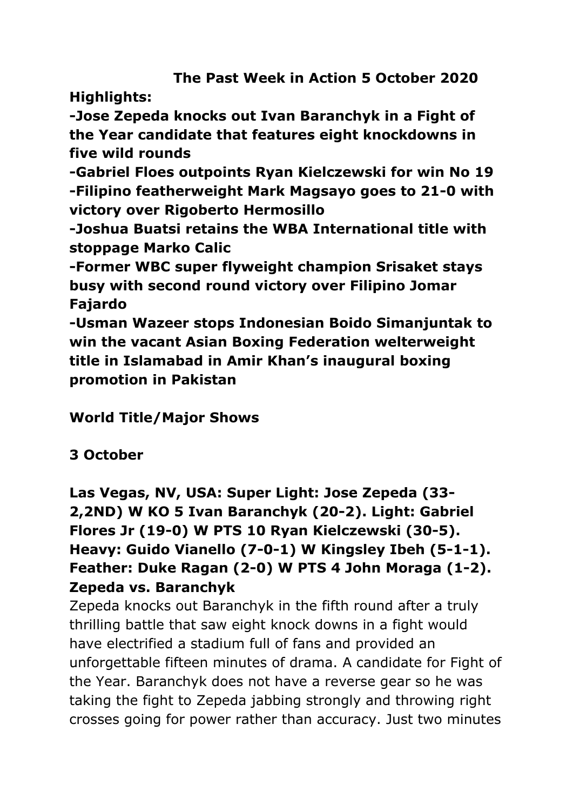**The Past Week in Action 5 October 2020**

**Highlights:**

**-Jose Zepeda knocks out Ivan Baranchyk in a Fight of the Year candidate that features eight knockdowns in five wild rounds** 

**-Gabriel Floes outpoints Ryan Kielczewski for win No 19 -Filipino featherweight Mark Magsayo goes to 21-0 with victory over Rigoberto Hermosillo**

**-Joshua Buatsi retains the WBA International title with stoppage Marko Calic**

**-Former WBC super flyweight champion Srisaket stays busy with second round victory over Filipino Jomar Fajardo**

**-Usman Wazeer stops Indonesian Boido Simanjuntak to win the vacant Asian Boxing Federation welterweight title in Islamabad in Amir Khan's inaugural boxing promotion in Pakistan**

**World Title/Major Shows**

# **3 October**

**Las Vegas, NV, USA: Super Light: Jose Zepeda (33- 2,2ND) W KO 5 Ivan Baranchyk (20-2). Light: Gabriel Flores Jr (19-0) W PTS 10 Ryan Kielczewski (30-5). Heavy: Guido Vianello (7-0-1) W Kingsley Ibeh (5-1-1). Feather: Duke Ragan (2-0) W PTS 4 John Moraga (1-2). Zepeda vs. Baranchyk**

Zepeda knocks out Baranchyk in the fifth round after a truly thrilling battle that saw eight knock downs in a fight would have electrified a stadium full of fans and provided an unforgettable fifteen minutes of drama. A candidate for Fight of the Year. Baranchyk does not have a reverse gear so he was taking the fight to Zepeda jabbing strongly and throwing right crosses going for power rather than accuracy. Just two minutes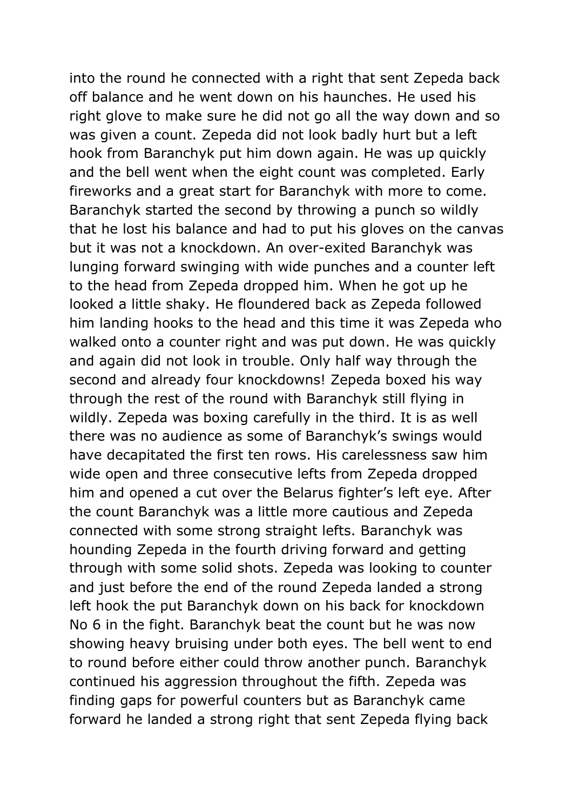into the round he connected with a right that sent Zepeda back off balance and he went down on his haunches. He used his right glove to make sure he did not go all the way down and so was given a count. Zepeda did not look badly hurt but a left hook from Baranchyk put him down again. He was up quickly and the bell went when the eight count was completed. Early fireworks and a great start for Baranchyk with more to come. Baranchyk started the second by throwing a punch so wildly that he lost his balance and had to put his gloves on the canvas but it was not a knockdown. An over-exited Baranchyk was lunging forward swinging with wide punches and a counter left to the head from Zepeda dropped him. When he got up he looked a little shaky. He floundered back as Zepeda followed him landing hooks to the head and this time it was Zepeda who walked onto a counter right and was put down. He was quickly and again did not look in trouble. Only half way through the second and already four knockdowns! Zepeda boxed his way through the rest of the round with Baranchyk still flying in wildly. Zepeda was boxing carefully in the third. It is as well there was no audience as some of Baranchyk's swings would have decapitated the first ten rows. His carelessness saw him wide open and three consecutive lefts from Zepeda dropped him and opened a cut over the Belarus fighter's left eye. After the count Baranchyk was a little more cautious and Zepeda connected with some strong straight lefts. Baranchyk was hounding Zepeda in the fourth driving forward and getting through with some solid shots. Zepeda was looking to counter and just before the end of the round Zepeda landed a strong left hook the put Baranchyk down on his back for knockdown No 6 in the fight. Baranchyk beat the count but he was now showing heavy bruising under both eyes. The bell went to end to round before either could throw another punch. Baranchyk continued his aggression throughout the fifth. Zepeda was finding gaps for powerful counters but as Baranchyk came forward he landed a strong right that sent Zepeda flying back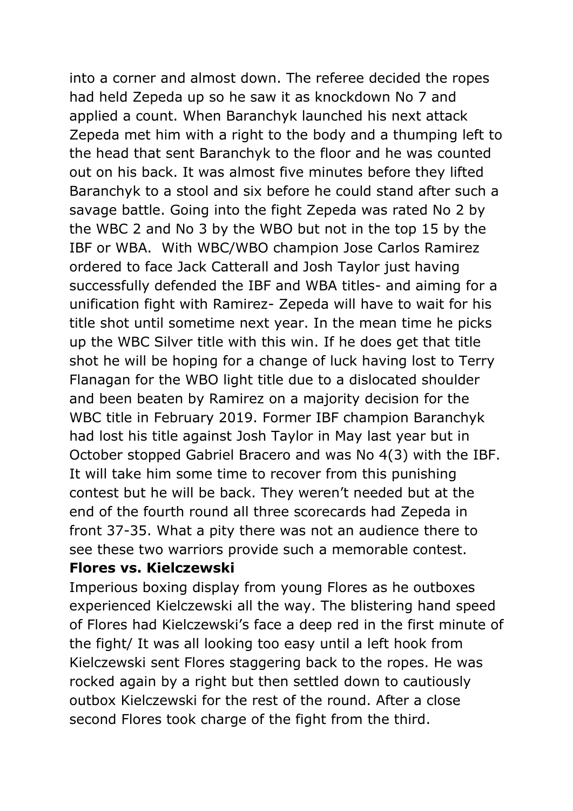into a corner and almost down. The referee decided the ropes had held Zepeda up so he saw it as knockdown No 7 and applied a count. When Baranchyk launched his next attack Zepeda met him with a right to the body and a thumping left to the head that sent Baranchyk to the floor and he was counted out on his back. It was almost five minutes before they lifted Baranchyk to a stool and six before he could stand after such a savage battle. Going into the fight Zepeda was rated No 2 by the WBC 2 and No 3 by the WBO but not in the top 15 by the IBF or WBA. With WBC/WBO champion Jose Carlos Ramirez ordered to face Jack Catterall and Josh Taylor just having successfully defended the IBF and WBA titles- and aiming for a unification fight with Ramirez- Zepeda will have to wait for his title shot until sometime next year. In the mean time he picks up the WBC Silver title with this win. If he does get that title shot he will be hoping for a change of luck having lost to Terry Flanagan for the WBO light title due to a dislocated shoulder and been beaten by Ramirez on a majority decision for the WBC title in February 2019. Former IBF champion Baranchyk had lost his title against Josh Taylor in May last year but in October stopped Gabriel Bracero and was No 4(3) with the IBF. It will take him some time to recover from this punishing contest but he will be back. They weren't needed but at the end of the fourth round all three scorecards had Zepeda in front 37-35. What a pity there was not an audience there to see these two warriors provide such a memorable contest.

#### **Flores vs. Kielczewski**

Imperious boxing display from young Flores as he outboxes experienced Kielczewski all the way. The blistering hand speed of Flores had Kielczewski's face a deep red in the first minute of the fight/ It was all looking too easy until a left hook from Kielczewski sent Flores staggering back to the ropes. He was rocked again by a right but then settled down to cautiously outbox Kielczewski for the rest of the round. After a close second Flores took charge of the fight from the third.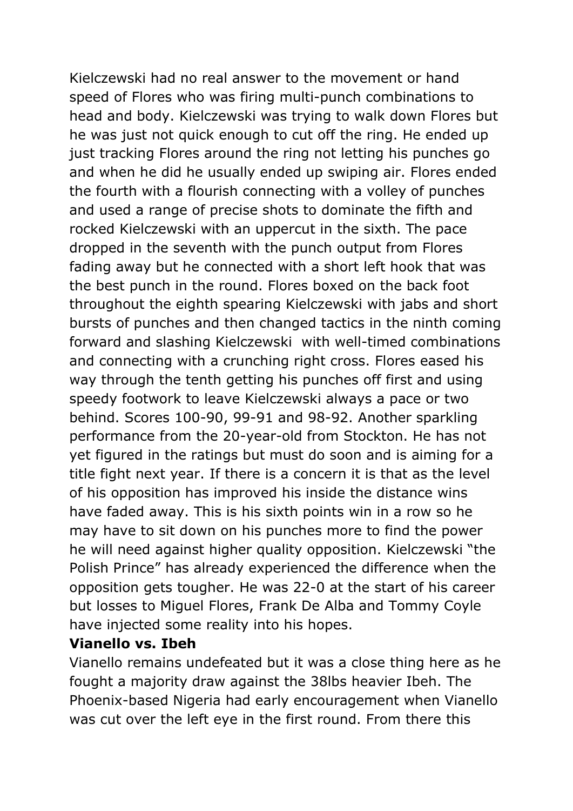Kielczewski had no real answer to the movement or hand speed of Flores who was firing multi-punch combinations to head and body. Kielczewski was trying to walk down Flores but he was just not quick enough to cut off the ring. He ended up just tracking Flores around the ring not letting his punches go and when he did he usually ended up swiping air. Flores ended the fourth with a flourish connecting with a volley of punches and used a range of precise shots to dominate the fifth and rocked Kielczewski with an uppercut in the sixth. The pace dropped in the seventh with the punch output from Flores fading away but he connected with a short left hook that was the best punch in the round. Flores boxed on the back foot throughout the eighth spearing Kielczewski with jabs and short bursts of punches and then changed tactics in the ninth coming forward and slashing Kielczewski with well-timed combinations and connecting with a crunching right cross. Flores eased his way through the tenth getting his punches off first and using speedy footwork to leave Kielczewski always a pace or two behind. Scores 100-90, 99-91 and 98-92. Another sparkling performance from the 20-year-old from Stockton. He has not yet figured in the ratings but must do soon and is aiming for a title fight next year. If there is a concern it is that as the level of his opposition has improved his inside the distance wins have faded away. This is his sixth points win in a row so he may have to sit down on his punches more to find the power he will need against higher quality opposition. Kielczewski "the Polish Prince" has already experienced the difference when the opposition gets tougher. He was 22-0 at the start of his career but losses to Miguel Flores, Frank De Alba and Tommy Coyle have injected some reality into his hopes.

#### **Vianello vs. Ibeh**

Vianello remains undefeated but it was a close thing here as he fought a majority draw against the 38lbs heavier Ibeh. The Phoenix-based Nigeria had early encouragement when Vianello was cut over the left eye in the first round. From there this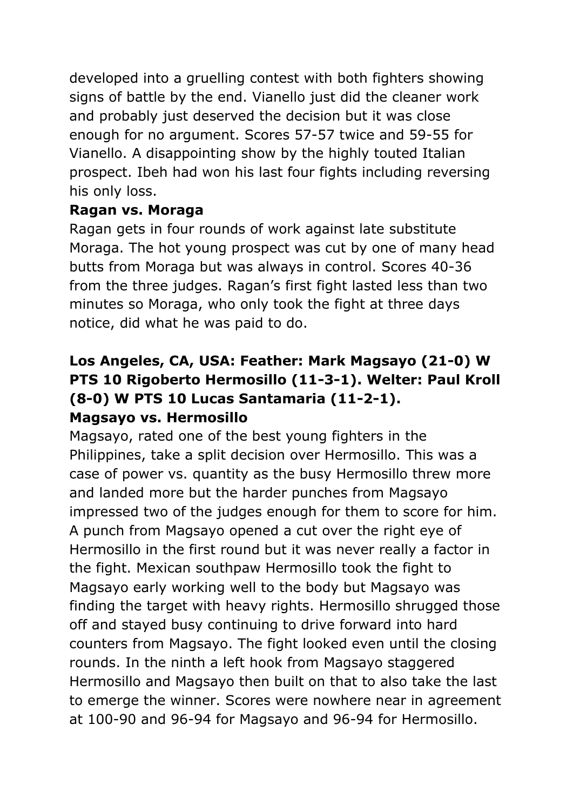developed into a gruelling contest with both fighters showing signs of battle by the end. Vianello just did the cleaner work and probably just deserved the decision but it was close enough for no argument. Scores 57-57 twice and 59-55 for Vianello. A disappointing show by the highly touted Italian prospect. Ibeh had won his last four fights including reversing his only loss.

#### **Ragan vs. Moraga**

Ragan gets in four rounds of work against late substitute Moraga. The hot young prospect was cut by one of many head butts from Moraga but was always in control. Scores 40-36 from the three judges. Ragan's first fight lasted less than two minutes so Moraga, who only took the fight at three days notice, did what he was paid to do.

# **Los Angeles, CA, USA: Feather: Mark Magsayo (21-0) W PTS 10 Rigoberto Hermosillo (11-3-1). Welter: Paul Kroll (8-0) W PTS 10 Lucas Santamaria (11-2-1). Magsayo vs. Hermosillo**

Magsayo, rated one of the best young fighters in the Philippines, take a split decision over Hermosillo. This was a case of power vs. quantity as the busy Hermosillo threw more and landed more but the harder punches from Magsayo impressed two of the judges enough for them to score for him. A punch from Magsayo opened a cut over the right eye of Hermosillo in the first round but it was never really a factor in the fight. Mexican southpaw Hermosillo took the fight to Magsayo early working well to the body but Magsayo was finding the target with heavy rights. Hermosillo shrugged those off and stayed busy continuing to drive forward into hard counters from Magsayo. The fight looked even until the closing rounds. In the ninth a left hook from Magsayo staggered Hermosillo and Magsayo then built on that to also take the last to emerge the winner. Scores were nowhere near in agreement at 100-90 and 96-94 for Magsayo and 96-94 for Hermosillo.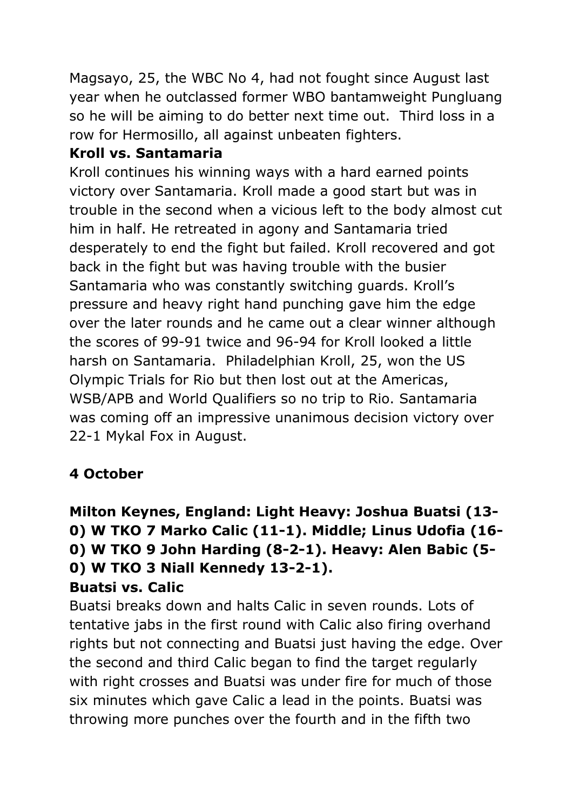Magsayo, 25, the WBC No 4, had not fought since August last year when he outclassed former WBO bantamweight Pungluang so he will be aiming to do better next time out. Third loss in a row for Hermosillo, all against unbeaten fighters.

#### **Kroll vs. Santamaria**

Kroll continues his winning ways with a hard earned points victory over Santamaria. Kroll made a good start but was in trouble in the second when a vicious left to the body almost cut him in half. He retreated in agony and Santamaria tried desperately to end the fight but failed. Kroll recovered and got back in the fight but was having trouble with the busier Santamaria who was constantly switching guards. Kroll's pressure and heavy right hand punching gave him the edge over the later rounds and he came out a clear winner although the scores of 99-91 twice and 96-94 for Kroll looked a little harsh on Santamaria. Philadelphian Kroll, 25, won the US Olympic Trials for Rio but then lost out at the Americas, WSB/APB and World Qualifiers so no trip to Rio. Santamaria was coming off an impressive unanimous decision victory over 22-1 Mykal Fox in August.

# **4 October**

# **Milton Keynes, England: Light Heavy: Joshua Buatsi (13- 0) W TKO 7 Marko Calic (11-1). Middle; Linus Udofia (16- 0) W TKO 9 John Harding (8-2-1). Heavy: Alen Babic (5- 0) W TKO 3 Niall Kennedy 13-2-1). Buatsi vs. Calic**

Buatsi breaks down and halts Calic in seven rounds. Lots of tentative jabs in the first round with Calic also firing overhand rights but not connecting and Buatsi just having the edge. Over the second and third Calic began to find the target regularly with right crosses and Buatsi was under fire for much of those six minutes which gave Calic a lead in the points. Buatsi was throwing more punches over the fourth and in the fifth two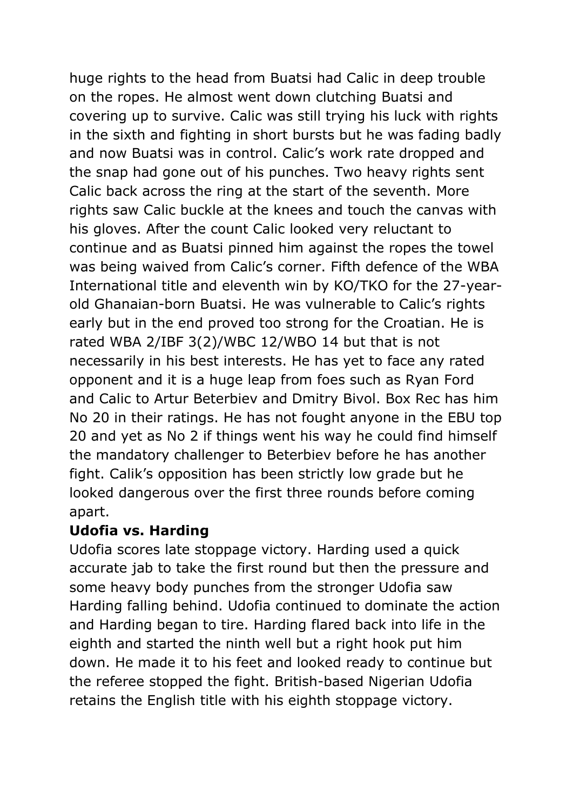huge rights to the head from Buatsi had Calic in deep trouble on the ropes. He almost went down clutching Buatsi and covering up to survive. Calic was still trying his luck with rights in the sixth and fighting in short bursts but he was fading badly and now Buatsi was in control. Calic's work rate dropped and the snap had gone out of his punches. Two heavy rights sent Calic back across the ring at the start of the seventh. More rights saw Calic buckle at the knees and touch the canvas with his gloves. After the count Calic looked very reluctant to continue and as Buatsi pinned him against the ropes the towel was being waived from Calic's corner. Fifth defence of the WBA International title and eleventh win by KO/TKO for the 27-yearold Ghanaian-born Buatsi. He was vulnerable to Calic's rights early but in the end proved too strong for the Croatian. He is rated WBA 2/IBF 3(2)/WBC 12/WBO 14 but that is not necessarily in his best interests. He has yet to face any rated opponent and it is a huge leap from foes such as Ryan Ford and Calic to Artur Beterbiev and Dmitry Bivol. Box Rec has him No 20 in their ratings. He has not fought anyone in the EBU top 20 and yet as No 2 if things went his way he could find himself the mandatory challenger to Beterbiev before he has another fight. Calik's opposition has been strictly low grade but he looked dangerous over the first three rounds before coming apart.

#### **Udofia vs. Harding**

Udofia scores late stoppage victory. Harding used a quick accurate jab to take the first round but then the pressure and some heavy body punches from the stronger Udofia saw Harding falling behind. Udofia continued to dominate the action and Harding began to tire. Harding flared back into life in the eighth and started the ninth well but a right hook put him down. He made it to his feet and looked ready to continue but the referee stopped the fight. British-based Nigerian Udofia retains the English title with his eighth stoppage victory.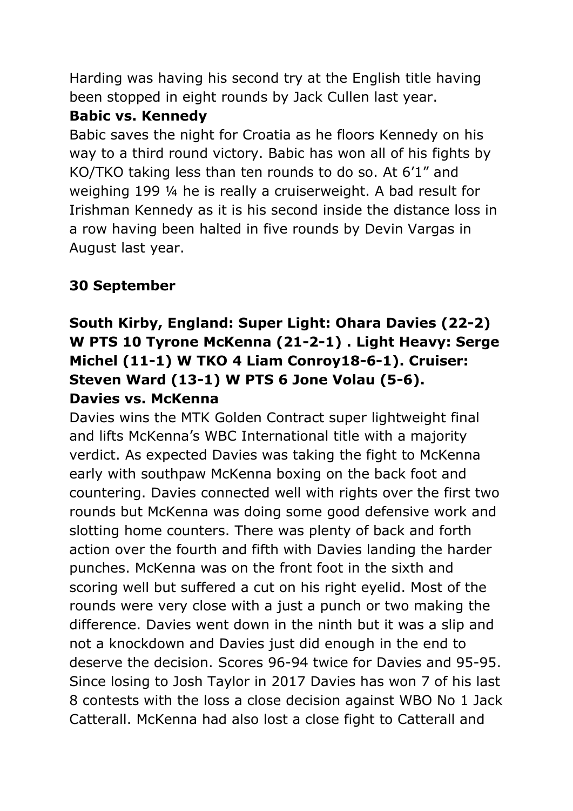Harding was having his second try at the English title having been stopped in eight rounds by Jack Cullen last year.

#### **Babic vs. Kennedy**

Babic saves the night for Croatia as he floors Kennedy on his way to a third round victory. Babic has won all of his fights by KO/TKO taking less than ten rounds to do so. At 6'1" and weighing 199 ¼ he is really a cruiserweight. A bad result for Irishman Kennedy as it is his second inside the distance loss in a row having been halted in five rounds by Devin Vargas in August last year.

# **30 September**

# **South Kirby, England: Super Light: Ohara Davies (22-2) W PTS 10 Tyrone McKenna (21-2-1) . Light Heavy: Serge Michel (11-1) W TKO 4 Liam Conroy18-6-1). Cruiser: Steven Ward (13-1) W PTS 6 Jone Volau (5-6). Davies vs. McKenna**

Davies wins the MTK Golden Contract super lightweight final and lifts McKenna's WBC International title with a majority verdict. As expected Davies was taking the fight to McKenna early with southpaw McKenna boxing on the back foot and countering. Davies connected well with rights over the first two rounds but McKenna was doing some good defensive work and slotting home counters. There was plenty of back and forth action over the fourth and fifth with Davies landing the harder punches. McKenna was on the front foot in the sixth and scoring well but suffered a cut on his right eyelid. Most of the rounds were very close with a just a punch or two making the difference. Davies went down in the ninth but it was a slip and not a knockdown and Davies just did enough in the end to deserve the decision. Scores 96-94 twice for Davies and 95-95. Since losing to Josh Taylor in 2017 Davies has won 7 of his last 8 contests with the loss a close decision against WBO No 1 Jack Catterall. McKenna had also lost a close fight to Catterall and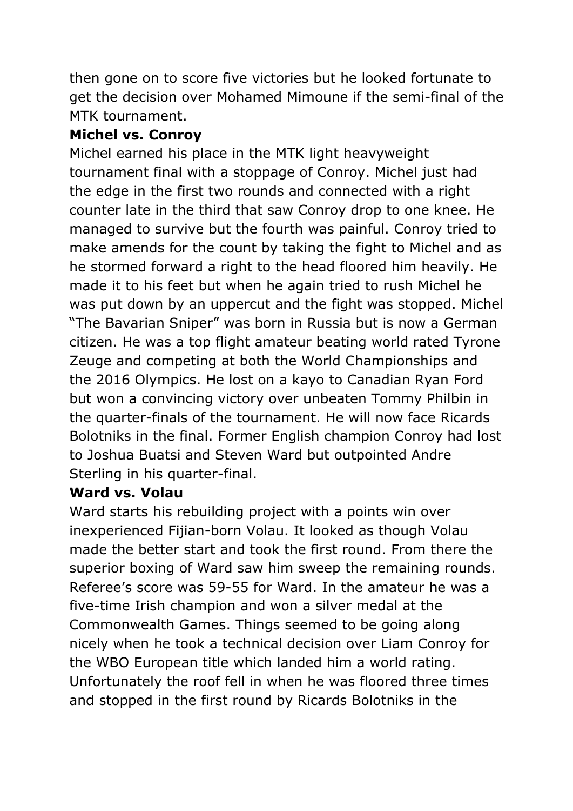then gone on to score five victories but he looked fortunate to get the decision over Mohamed Mimoune if the semi-final of the MTK tournament.

# **Michel vs. Conroy**

Michel earned his place in the MTK light heavyweight tournament final with a stoppage of Conroy. Michel just had the edge in the first two rounds and connected with a right counter late in the third that saw Conroy drop to one knee. He managed to survive but the fourth was painful. Conroy tried to make amends for the count by taking the fight to Michel and as he stormed forward a right to the head floored him heavily. He made it to his feet but when he again tried to rush Michel he was put down by an uppercut and the fight was stopped. Michel "The Bavarian Sniper" was born in Russia but is now a German citizen. He was a top flight amateur beating world rated Tyrone Zeuge and competing at both the World Championships and the 2016 Olympics. He lost on a kayo to Canadian Ryan Ford but won a convincing victory over unbeaten Tommy Philbin in the quarter-finals of the tournament. He will now face Ricards Bolotniks in the final. Former English champion Conroy had lost to Joshua Buatsi and Steven Ward but outpointed Andre Sterling in his quarter-final.

#### **Ward vs. Volau**

Ward starts his rebuilding project with a points win over inexperienced Fijian-born Volau. It looked as though Volau made the better start and took the first round. From there the superior boxing of Ward saw him sweep the remaining rounds. Referee's score was 59-55 for Ward. In the amateur he was a five-time Irish champion and won a silver medal at the Commonwealth Games. Things seemed to be going along nicely when he took a technical decision over Liam Conroy for the WBO European title which landed him a world rating. Unfortunately the roof fell in when he was floored three times and stopped in the first round by Ricards Bolotniks in the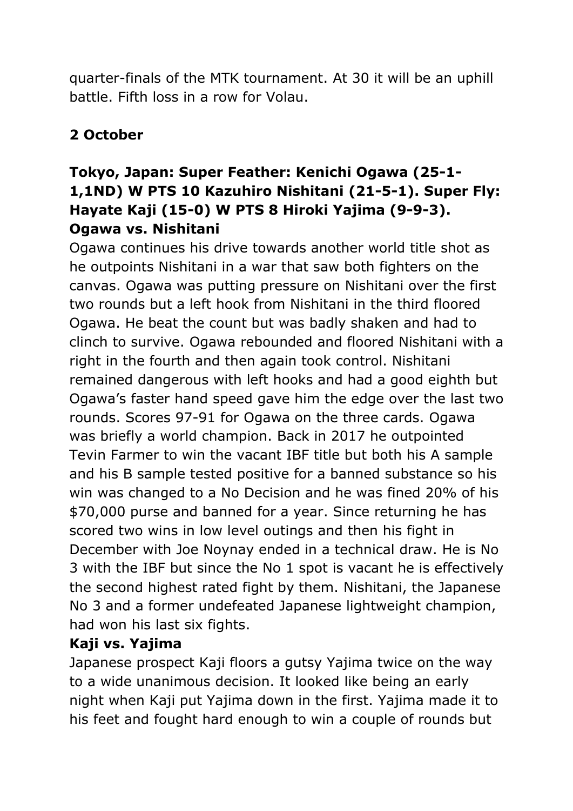quarter-finals of the MTK tournament. At 30 it will be an uphill battle. Fifth loss in a row for Volau.

# **2 October**

# **Tokyo, Japan: Super Feather: Kenichi Ogawa (25-1- 1,1ND) W PTS 10 Kazuhiro Nishitani (21-5-1). Super Fly: Hayate Kaji (15-0) W PTS 8 Hiroki Yajima (9-9-3). Ogawa vs. Nishitani**

Ogawa continues his drive towards another world title shot as he outpoints Nishitani in a war that saw both fighters on the canvas. Ogawa was putting pressure on Nishitani over the first two rounds but a left hook from Nishitani in the third floored Ogawa. He beat the count but was badly shaken and had to clinch to survive. Ogawa rebounded and floored Nishitani with a right in the fourth and then again took control. Nishitani remained dangerous with left hooks and had a good eighth but Ogawa's faster hand speed gave him the edge over the last two rounds. Scores 97-91 for Ogawa on the three cards. Ogawa was briefly a world champion. Back in 2017 he outpointed Tevin Farmer to win the vacant IBF title but both his A sample and his B sample tested positive for a banned substance so his win was changed to a No Decision and he was fined 20% of his \$70,000 purse and banned for a year. Since returning he has scored two wins in low level outings and then his fight in December with Joe Noynay ended in a technical draw. He is No 3 with the IBF but since the No 1 spot is vacant he is effectively the second highest rated fight by them. Nishitani, the Japanese No 3 and a former undefeated Japanese lightweight champion, had won his last six fights.

## **Kaji vs. Yajima**

Japanese prospect Kaji floors a gutsy Yajima twice on the way to a wide unanimous decision. It looked like being an early night when Kaji put Yajima down in the first. Yajima made it to his feet and fought hard enough to win a couple of rounds but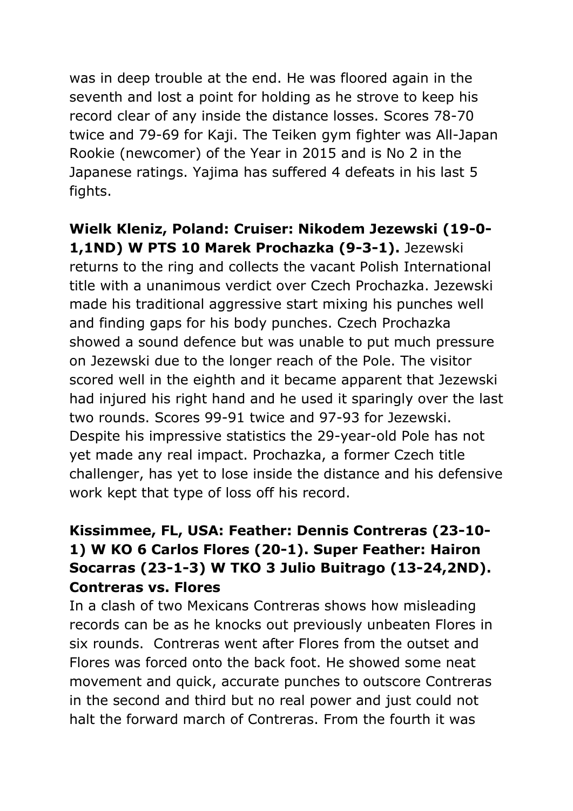was in deep trouble at the end. He was floored again in the seventh and lost a point for holding as he strove to keep his record clear of any inside the distance losses. Scores 78-70 twice and 79-69 for Kaji. The Teiken gym fighter was All-Japan Rookie (newcomer) of the Year in 2015 and is No 2 in the Japanese ratings. Yajima has suffered 4 defeats in his last 5 fights.

**Wielk Kleniz, Poland: Cruiser: Nikodem Jezewski (19-0- 1,1ND) W PTS 10 Marek Prochazka (9-3-1).** Jezewski returns to the ring and collects the vacant Polish International title with a unanimous verdict over Czech Prochazka. Jezewski made his traditional aggressive start mixing his punches well and finding gaps for his body punches. Czech Prochazka showed a sound defence but was unable to put much pressure on Jezewski due to the longer reach of the Pole. The visitor scored well in the eighth and it became apparent that Jezewski had injured his right hand and he used it sparingly over the last two rounds. Scores 99-91 twice and 97-93 for Jezewski. Despite his impressive statistics the 29-year-old Pole has not yet made any real impact. Prochazka, a former Czech title challenger, has yet to lose inside the distance and his defensive work kept that type of loss off his record.

# **Kissimmee, FL, USA: Feather: Dennis Contreras (23-10- 1) W KO 6 Carlos Flores (20-1). Super Feather: Hairon Socarras (23-1-3) W TKO 3 Julio Buitrago (13-24,2ND). Contreras vs. Flores**

In a clash of two Mexicans Contreras shows how misleading records can be as he knocks out previously unbeaten Flores in six rounds. Contreras went after Flores from the outset and Flores was forced onto the back foot. He showed some neat movement and quick, accurate punches to outscore Contreras in the second and third but no real power and just could not halt the forward march of Contreras. From the fourth it was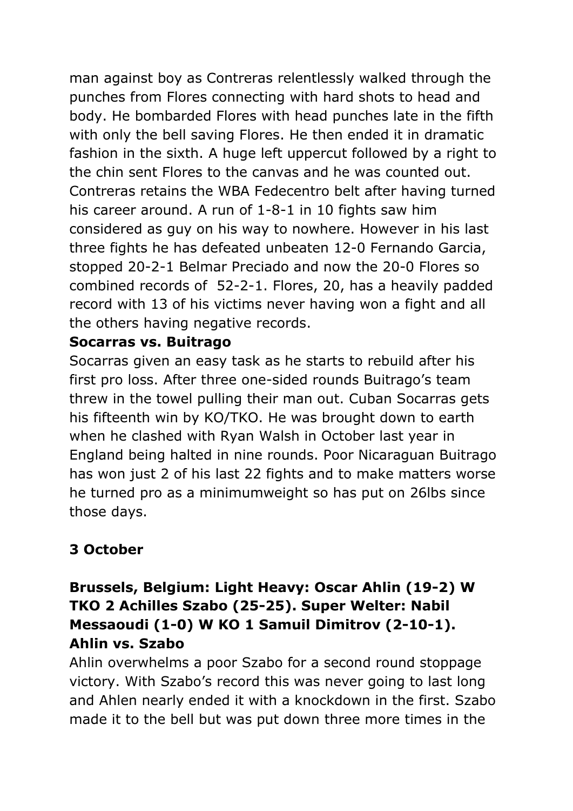man against boy as Contreras relentlessly walked through the punches from Flores connecting with hard shots to head and body. He bombarded Flores with head punches late in the fifth with only the bell saving Flores. He then ended it in dramatic fashion in the sixth. A huge left uppercut followed by a right to the chin sent Flores to the canvas and he was counted out. Contreras retains the WBA Fedecentro belt after having turned his career around. A run of 1-8-1 in 10 fights saw him considered as guy on his way to nowhere. However in his last three fights he has defeated unbeaten 12-0 Fernando Garcia, stopped 20-2-1 Belmar Preciado and now the 20-0 Flores so combined records of 52-2-1. Flores, 20, has a heavily padded record with 13 of his victims never having won a fight and all the others having negative records.

#### **Socarras vs. Buitrago**

Socarras given an easy task as he starts to rebuild after his first pro loss. After three one-sided rounds Buitrago's team threw in the towel pulling their man out. Cuban Socarras gets his fifteenth win by KO/TKO. He was brought down to earth when he clashed with Ryan Walsh in October last year in England being halted in nine rounds. Poor Nicaraguan Buitrago has won just 2 of his last 22 fights and to make matters worse he turned pro as a minimumweight so has put on 26lbs since those days.

# **3 October**

### **Brussels, Belgium: Light Heavy: Oscar Ahlin (19-2) W TKO 2 Achilles Szabo (25-25). Super Welter: Nabil Messaoudi (1-0) W KO 1 Samuil Dimitrov (2-10-1). Ahlin vs. Szabo**

Ahlin overwhelms a poor Szabo for a second round stoppage victory. With Szabo's record this was never going to last long and Ahlen nearly ended it with a knockdown in the first. Szabo made it to the bell but was put down three more times in the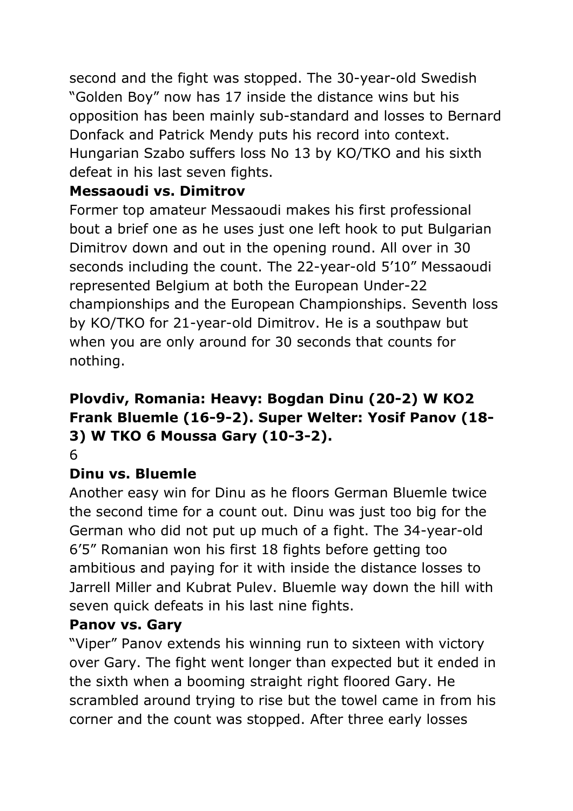second and the fight was stopped. The 30-year-old Swedish "Golden Boy" now has 17 inside the distance wins but his opposition has been mainly sub-standard and losses to Bernard Donfack and Patrick Mendy puts his record into context. Hungarian Szabo suffers loss No 13 by KO/TKO and his sixth defeat in his last seven fights.

# **Messaoudi vs. Dimitrov**

Former top amateur Messaoudi makes his first professional bout a brief one as he uses just one left hook to put Bulgarian Dimitrov down and out in the opening round. All over in 30 seconds including the count. The 22-year-old 5'10" Messaoudi represented Belgium at both the European Under-22 championships and the European Championships. Seventh loss by KO/TKO for 21-year-old Dimitrov. He is a southpaw but when you are only around for 30 seconds that counts for nothing.

# **Plovdiv, Romania: Heavy: Bogdan Dinu (20-2) W KO2 Frank Bluemle (16-9-2). Super Welter: Yosif Panov (18- 3) W TKO 6 Moussa Gary (10-3-2).**

6

# **Dinu vs. Bluemle**

Another easy win for Dinu as he floors German Bluemle twice the second time for a count out. Dinu was just too big for the German who did not put up much of a fight. The 34-year-old 6'5" Romanian won his first 18 fights before getting too ambitious and paying for it with inside the distance losses to Jarrell Miller and Kubrat Pulev. Bluemle way down the hill with seven quick defeats in his last nine fights.

# **Panov vs. Gary**

"Viper" Panov extends his winning run to sixteen with victory over Gary. The fight went longer than expected but it ended in the sixth when a booming straight right floored Gary. He scrambled around trying to rise but the towel came in from his corner and the count was stopped. After three early losses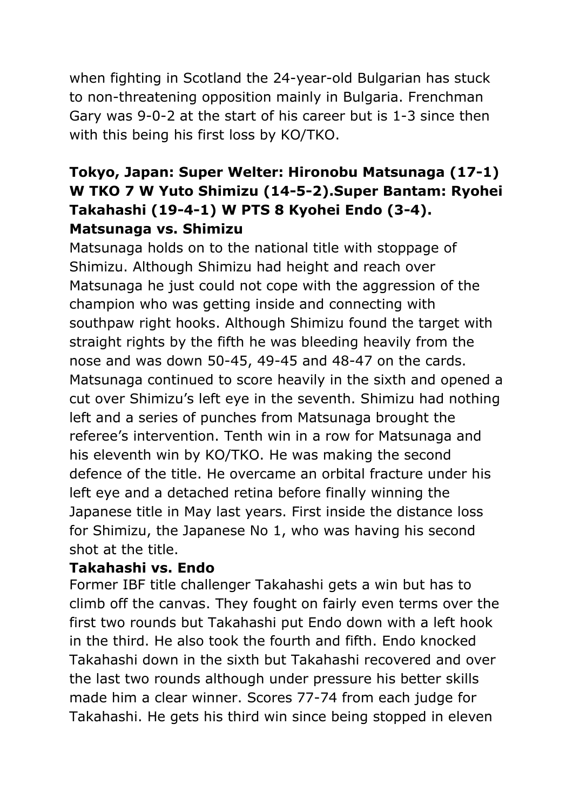when fighting in Scotland the 24-year-old Bulgarian has stuck to non-threatening opposition mainly in Bulgaria. Frenchman Gary was 9-0-2 at the start of his career but is 1-3 since then with this being his first loss by KO/TKO.

# **Tokyo, Japan: Super Welter: Hironobu Matsunaga (17-1) W TKO 7 W Yuto Shimizu (14-5-2).Super Bantam: Ryohei Takahashi (19-4-1) W PTS 8 Kyohei Endo (3-4). Matsunaga vs. Shimizu**

Matsunaga holds on to the national title with stoppage of Shimizu. Although Shimizu had height and reach over Matsunaga he just could not cope with the aggression of the champion who was getting inside and connecting with southpaw right hooks. Although Shimizu found the target with straight rights by the fifth he was bleeding heavily from the nose and was down 50-45, 49-45 and 48-47 on the cards. Matsunaga continued to score heavily in the sixth and opened a cut over Shimizu's left eye in the seventh. Shimizu had nothing left and a series of punches from Matsunaga brought the referee's intervention. Tenth win in a row for Matsunaga and his eleventh win by KO/TKO. He was making the second defence of the title. He overcame an orbital fracture under his left eye and a detached retina before finally winning the Japanese title in May last years. First inside the distance loss for Shimizu, the Japanese No 1, who was having his second shot at the title.

#### **Takahashi vs. Endo**

Former IBF title challenger Takahashi gets a win but has to climb off the canvas. They fought on fairly even terms over the first two rounds but Takahashi put Endo down with a left hook in the third. He also took the fourth and fifth. Endo knocked Takahashi down in the sixth but Takahashi recovered and over the last two rounds although under pressure his better skills made him a clear winner. Scores 77-74 from each judge for Takahashi. He gets his third win since being stopped in eleven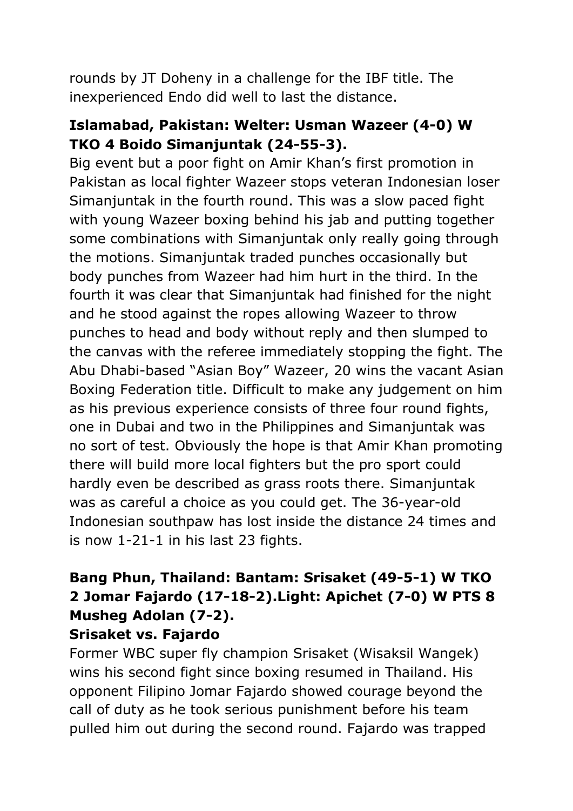rounds by JT Doheny in a challenge for the IBF title. The inexperienced Endo did well to last the distance.

### **Islamabad, Pakistan: Welter: Usman Wazeer (4-0) W TKO 4 Boido Simanjuntak (24-55-3).**

Big event but a poor fight on Amir Khan's first promotion in Pakistan as local fighter Wazeer stops veteran Indonesian loser Simanjuntak in the fourth round. This was a slow paced fight with young Wazeer boxing behind his jab and putting together some combinations with Simanjuntak only really going through the motions. Simanjuntak traded punches occasionally but body punches from Wazeer had him hurt in the third. In the fourth it was clear that Simanjuntak had finished for the night and he stood against the ropes allowing Wazeer to throw punches to head and body without reply and then slumped to the canvas with the referee immediately stopping the fight. The Abu Dhabi-based "Asian Boy" Wazeer, 20 wins the vacant Asian Boxing Federation title. Difficult to make any judgement on him as his previous experience consists of three four round fights, one in Dubai and two in the Philippines and Simanjuntak was no sort of test. Obviously the hope is that Amir Khan promoting there will build more local fighters but the pro sport could hardly even be described as grass roots there. Simanjuntak was as careful a choice as you could get. The 36-year-old Indonesian southpaw has lost inside the distance 24 times and is now 1-21-1 in his last 23 fights.

# **Bang Phun, Thailand: Bantam: Srisaket (49-5-1) W TKO 2 Jomar Fajardo (17-18-2).Light: Apichet (7-0) W PTS 8 Musheg Adolan (7-2).**

#### **Srisaket vs. Fajardo**

Former WBC super fly champion Srisaket (Wisaksil Wangek) wins his second fight since boxing resumed in Thailand. His opponent Filipino Jomar Fajardo showed courage beyond the call of duty as he took serious punishment before his team pulled him out during the second round. Fajardo was trapped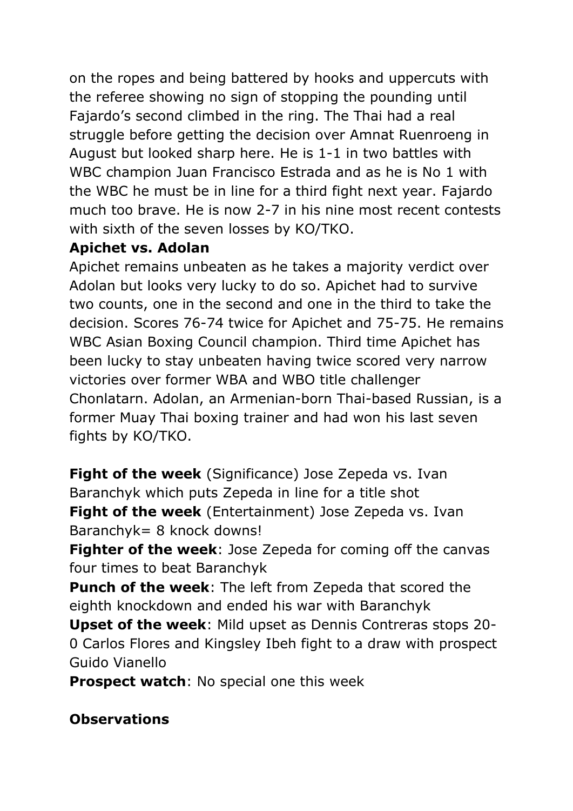on the ropes and being battered by hooks and uppercuts with the referee showing no sign of stopping the pounding until Fajardo's second climbed in the ring. The Thai had a real struggle before getting the decision over Amnat Ruenroeng in August but looked sharp here. He is 1-1 in two battles with WBC champion Juan Francisco Estrada and as he is No 1 with the WBC he must be in line for a third fight next year. Fajardo much too brave. He is now 2-7 in his nine most recent contests with sixth of the seven losses by KO/TKO.

#### **Apichet vs. Adolan**

Apichet remains unbeaten as he takes a majority verdict over Adolan but looks very lucky to do so. Apichet had to survive two counts, one in the second and one in the third to take the decision. Scores 76-74 twice for Apichet and 75-75. He remains WBC Asian Boxing Council champion. Third time Apichet has been lucky to stay unbeaten having twice scored very narrow victories over former WBA and WBO title challenger Chonlatarn. Adolan, an Armenian-born Thai-based Russian, is a former Muay Thai boxing trainer and had won his last seven fights by KO/TKO.

**Fight of the week** (Significance) Jose Zepeda vs. Ivan Baranchyk which puts Zepeda in line for a title shot **Fight of the week** (Entertainment) Jose Zepeda vs. Ivan Baranchyk= 8 knock downs!

**Fighter of the week**: Jose Zepeda for coming off the canvas four times to beat Baranchyk

**Punch of the week**: The left from Zepeda that scored the eighth knockdown and ended his war with Baranchyk

**Upset of the week**: Mild upset as Dennis Contreras stops 20- 0 Carlos Flores and Kingsley Ibeh fight to a draw with prospect Guido Vianello

**Prospect watch**: No special one this week

#### **Observations**